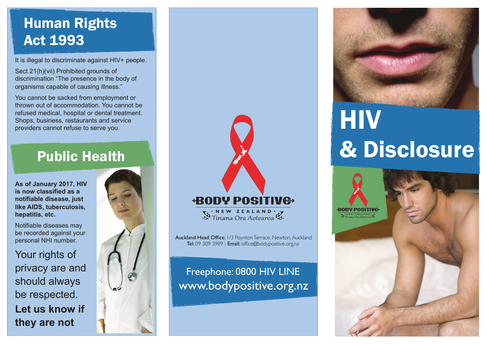## Human Rights Act 1993

It is illegal to discriminate against HIV+ people.

Sect 21(h)(vii) Prohibited grounds of discrimination "The presence in the body of organisms capable of causing illness."

You cannot be sacked from employment or thrown out of accommodation. You cannot be refused medical, hospital or dental treatment. Shops, business, restaurants and service providers cannot refuse to serve you.

## Public Health

**As of January 2017, HIV is now classified as a notifiable disease, just like AIDS, tuberculosis, hepatitis, etc.** 

Notifiable diseases may be recorded against your personal NHI number.

Your rights of privacy are and should always be respected. **Let us know if they are not**



## **+BODY POSITIV<del>C</del>**

W Tinana Ora Aotearoa

Auckland Head Office: 1/3 Poynton Terrace, Newton, Auckland Tel: 09 309 3989 | Email: office@bodypositive.org.nz

Freephone: 0800 HIV LINE www.bodypositive.org.nz



# **HIV** & Disclosure